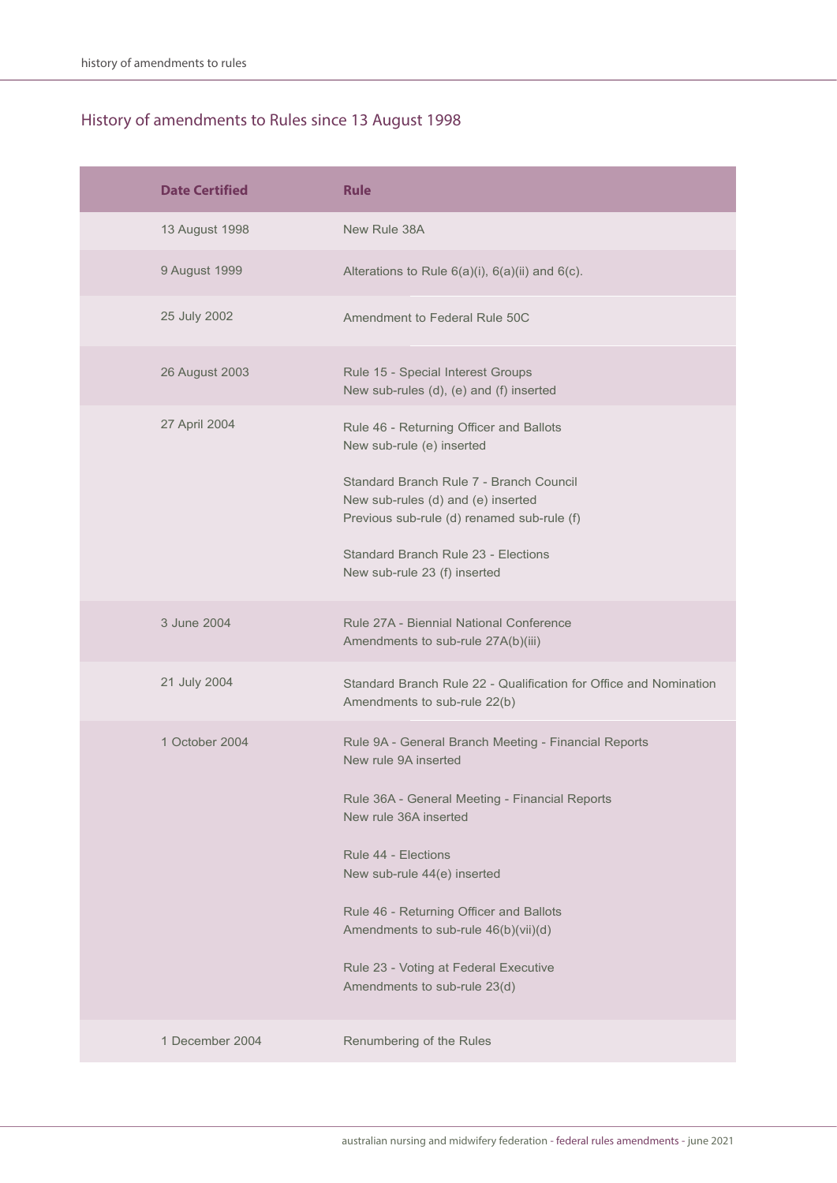| <b>Date Certified</b> | <b>Rule</b>                                                                                                                                                                                                                                                                                                                                                               |
|-----------------------|---------------------------------------------------------------------------------------------------------------------------------------------------------------------------------------------------------------------------------------------------------------------------------------------------------------------------------------------------------------------------|
| 13 August 1998        | New Rule 38A                                                                                                                                                                                                                                                                                                                                                              |
| 9 August 1999         | Alterations to Rule $6(a)(i)$ , $6(a)(ii)$ and $6(c)$ .                                                                                                                                                                                                                                                                                                                   |
| 25 July 2002          | Amendment to Federal Rule 50C                                                                                                                                                                                                                                                                                                                                             |
| 26 August 2003        | Rule 15 - Special Interest Groups<br>New sub-rules (d), (e) and (f) inserted                                                                                                                                                                                                                                                                                              |
| 27 April 2004         | Rule 46 - Returning Officer and Ballots<br>New sub-rule (e) inserted<br>Standard Branch Rule 7 - Branch Council<br>New sub-rules (d) and (e) inserted<br>Previous sub-rule (d) renamed sub-rule (f)<br>Standard Branch Rule 23 - Elections<br>New sub-rule 23 (f) inserted                                                                                                |
| 3 June 2004           | Rule 27A - Biennial National Conference<br>Amendments to sub-rule 27A(b)(iii)                                                                                                                                                                                                                                                                                             |
| 21 July 2004          | Standard Branch Rule 22 - Qualification for Office and Nomination<br>Amendments to sub-rule 22(b)                                                                                                                                                                                                                                                                         |
| 1 October 2004        | Rule 9A - General Branch Meeting - Financial Reports<br>New rule 9A inserted<br>Rule 36A - General Meeting - Financial Reports<br>New rule 36A inserted<br>Rule 44 - Elections<br>New sub-rule 44(e) inserted<br>Rule 46 - Returning Officer and Ballots<br>Amendments to sub-rule 46(b)(vii)(d)<br>Rule 23 - Voting at Federal Executive<br>Amendments to sub-rule 23(d) |
| 1 December 2004       | Renumbering of the Rules                                                                                                                                                                                                                                                                                                                                                  |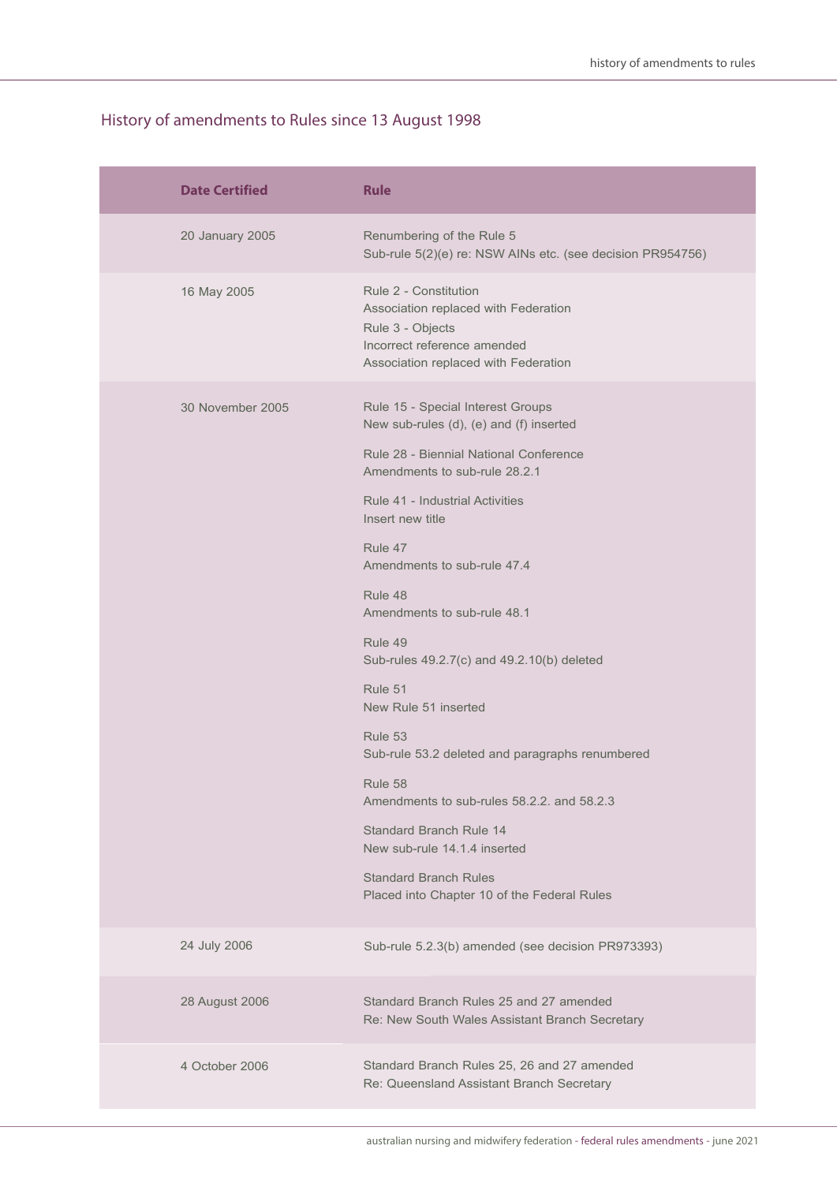| <b>Date Certified</b> | <b>Rule</b>                                                                                                                                              |
|-----------------------|----------------------------------------------------------------------------------------------------------------------------------------------------------|
| 20 January 2005       | Renumbering of the Rule 5<br>Sub-rule 5(2)(e) re: NSW AINs etc. (see decision PR954756)                                                                  |
| 16 May 2005           | Rule 2 - Constitution<br>Association replaced with Federation<br>Rule 3 - Objects<br>Incorrect reference amended<br>Association replaced with Federation |
| 30 November 2005      | Rule 15 - Special Interest Groups<br>New sub-rules (d), (e) and (f) inserted                                                                             |
|                       | Rule 28 - Biennial National Conference<br>Amendments to sub-rule 28.2.1                                                                                  |
|                       | Rule 41 - Industrial Activities<br>Insert new title                                                                                                      |
|                       | Rule 47<br>Amendments to sub-rule 47.4                                                                                                                   |
|                       | Rule 48<br>Amendments to sub-rule 48.1                                                                                                                   |
|                       | Rule 49<br>Sub-rules 49.2.7(c) and 49.2.10(b) deleted                                                                                                    |
|                       | Rule 51<br>New Rule 51 inserted                                                                                                                          |
|                       | Rule 53<br>Sub-rule 53.2 deleted and paragraphs renumbered                                                                                               |
|                       | Rule 58<br>Amendments to sub-rules 58.2.2. and 58.2.3                                                                                                    |
|                       | <b>Standard Branch Rule 14</b><br>New sub-rule 14.1.4 inserted                                                                                           |
|                       | <b>Standard Branch Rules</b><br>Placed into Chapter 10 of the Federal Rules                                                                              |
| 24 July 2006          | Sub-rule 5.2.3(b) amended (see decision PR973393)                                                                                                        |
| 28 August 2006        | Standard Branch Rules 25 and 27 amended<br>Re: New South Wales Assistant Branch Secretary                                                                |
| 4 October 2006        | Standard Branch Rules 25, 26 and 27 amended<br>Re: Queensland Assistant Branch Secretary                                                                 |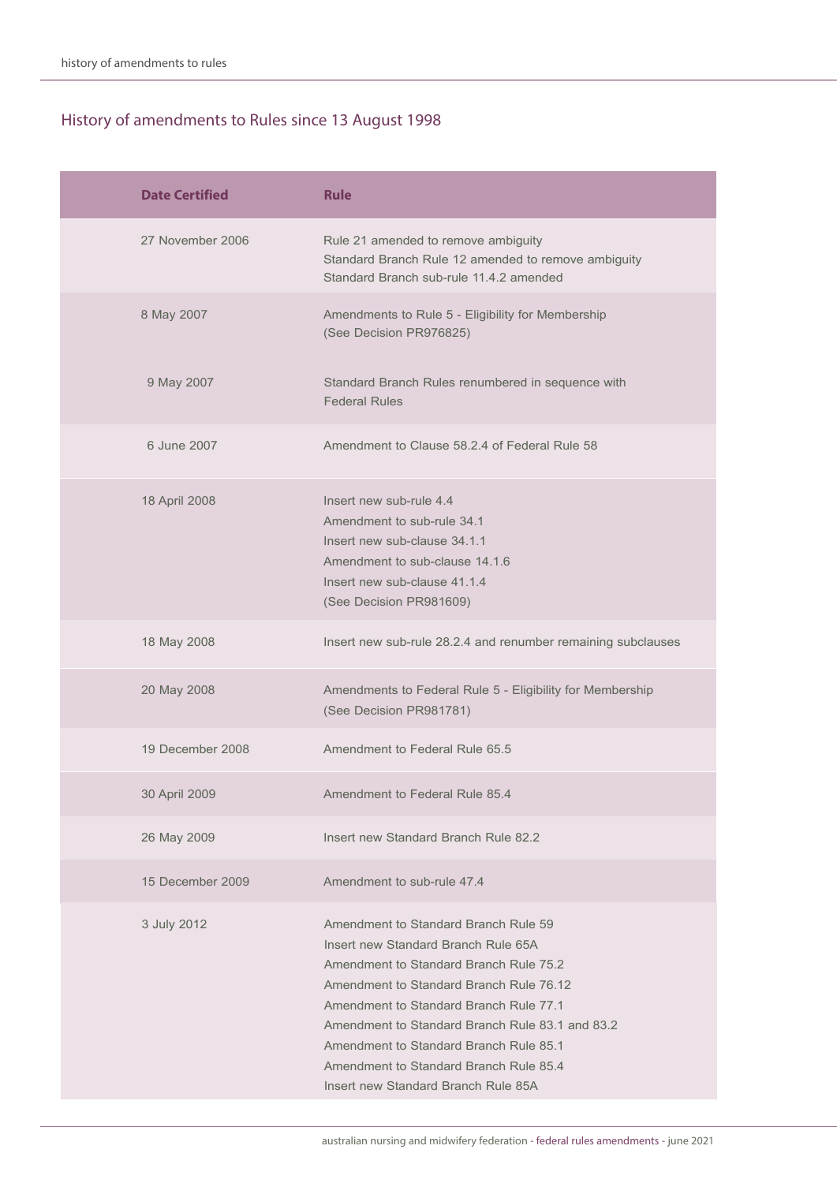| <b>Date Certified</b> | <b>Rule</b>                                                                                                                                                                                                                                                                                                                                                                              |
|-----------------------|------------------------------------------------------------------------------------------------------------------------------------------------------------------------------------------------------------------------------------------------------------------------------------------------------------------------------------------------------------------------------------------|
| 27 November 2006      | Rule 21 amended to remove ambiguity<br>Standard Branch Rule 12 amended to remove ambiguity<br>Standard Branch sub-rule 11.4.2 amended                                                                                                                                                                                                                                                    |
| 8 May 2007            | Amendments to Rule 5 - Eligibility for Membership<br>(See Decision PR976825)                                                                                                                                                                                                                                                                                                             |
| 9 May 2007            | Standard Branch Rules renumbered in sequence with<br><b>Federal Rules</b>                                                                                                                                                                                                                                                                                                                |
| 6 June 2007           | Amendment to Clause 58.2.4 of Federal Rule 58                                                                                                                                                                                                                                                                                                                                            |
| 18 April 2008         | Insert new sub-rule 4.4<br>Amendment to sub-rule 34.1<br>Insert new sub-clause 34.1.1<br>Amendment to sub-clause 14.1.6<br>Insert new sub-clause 41.1.4<br>(See Decision PR981609)                                                                                                                                                                                                       |
| 18 May 2008           | Insert new sub-rule 28.2.4 and renumber remaining subclauses                                                                                                                                                                                                                                                                                                                             |
| 20 May 2008           | Amendments to Federal Rule 5 - Eligibility for Membership<br>(See Decision PR981781)                                                                                                                                                                                                                                                                                                     |
| 19 December 2008      | Amendment to Federal Rule 65.5                                                                                                                                                                                                                                                                                                                                                           |
| 30 April 2009         | Amendment to Federal Rule 85.4                                                                                                                                                                                                                                                                                                                                                           |
| 26 May 2009           | Insert new Standard Branch Rule 82.2                                                                                                                                                                                                                                                                                                                                                     |
| 15 December 2009      | Amendment to sub-rule 47.4                                                                                                                                                                                                                                                                                                                                                               |
| 3 July 2012           | Amendment to Standard Branch Rule 59<br>Insert new Standard Branch Rule 65A<br>Amendment to Standard Branch Rule 75.2<br>Amendment to Standard Branch Rule 76.12<br>Amendment to Standard Branch Rule 77.1<br>Amendment to Standard Branch Rule 83.1 and 83.2<br>Amendment to Standard Branch Rule 85.1<br>Amendment to Standard Branch Rule 85.4<br>Insert new Standard Branch Rule 85A |